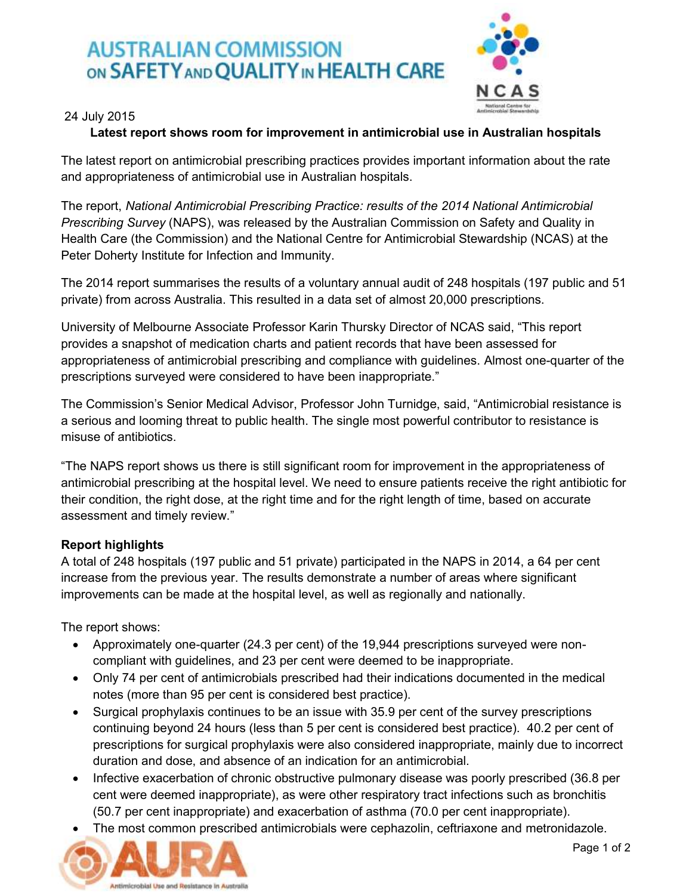# **AUSTRALIAN COMMISSION** ON SAFETY AND QUALITY IN HEALTH CARE



## 24 July 2015

## **Latest report shows room for improvement in antimicrobial use in Australian hospitals**

The latest report on antimicrobial prescribing practices provides important information about the rate and appropriateness of antimicrobial use in Australian hospitals.

The report, *National Antimicrobial Prescribing Practice: results of the 2014 National Antimicrobial Prescribing Survey* (NAPS), was released by the Australian Commission on Safety and Quality in Health Care (the Commission) and the National Centre for Antimicrobial Stewardship (NCAS) at the Peter Doherty Institute for Infection and Immunity.

The 2014 report summarises the results of a voluntary annual audit of 248 hospitals (197 public and 51 private) from across Australia. This resulted in a data set of almost 20,000 prescriptions.

University of Melbourne Associate Professor Karin Thursky Director of NCAS said, "This report provides a snapshot of medication charts and patient records that have been assessed for appropriateness of antimicrobial prescribing and compliance with guidelines. Almost one-quarter of the prescriptions surveyed were considered to have been inappropriate."

The Commission's Senior Medical Advisor, Professor John Turnidge, said, "Antimicrobial resistance is a serious and looming threat to public health. The single most powerful contributor to resistance is misuse of antibiotics.

"The NAPS report shows us there is still significant room for improvement in the appropriateness of antimicrobial prescribing at the hospital level. We need to ensure patients receive the right antibiotic for their condition, the right dose, at the right time and for the right length of time, based on accurate assessment and timely review."

# **Report highlights**

A total of 248 hospitals (197 public and 51 private) participated in the NAPS in 2014, a 64 per cent increase from the previous year. The results demonstrate a number of areas where significant improvements can be made at the hospital level, as well as regionally and nationally.

The report shows:

- Approximately one-quarter (24.3 per cent) of the 19,944 prescriptions surveyed were noncompliant with guidelines, and 23 per cent were deemed to be inappropriate.
- Only 74 per cent of antimicrobials prescribed had their indications documented in the medical notes (more than 95 per cent is considered best practice).
- Surgical prophylaxis continues to be an issue with 35.9 per cent of the survey prescriptions continuing beyond 24 hours (less than 5 per cent is considered best practice). 40.2 per cent of prescriptions for surgical prophylaxis were also considered inappropriate, mainly due to incorrect duration and dose, and absence of an indication for an antimicrobial.
- Infective exacerbation of chronic obstructive pulmonary disease was poorly prescribed (36.8 per cent were deemed inappropriate), as were other respiratory tract infections such as bronchitis (50.7 per cent inappropriate) and exacerbation of asthma (70.0 per cent inappropriate).
- The most common prescribed antimicrobials were cephazolin, ceftriaxone and metronidazole.